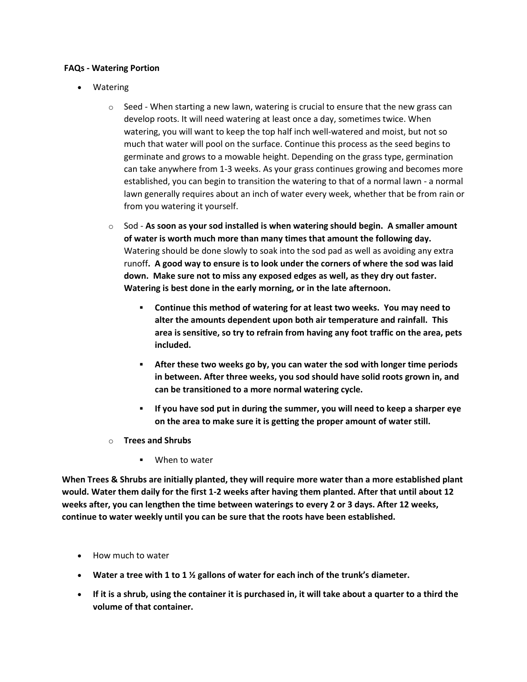## **FAQs - Watering Portion**

- Watering
	- $\circ$  Seed When starting a new lawn, watering is crucial to ensure that the new grass can develop roots. It will need watering at least once a day, sometimes twice. When watering, you will want to keep the top half inch well-watered and moist, but not so much that water will pool on the surface. Continue this process as the seed begins to germinate and grows to a mowable height. Depending on the grass type, germination can take anywhere from 1-3 weeks. As your grass continues growing and becomes more established, you can begin to transition the watering to that of a normal lawn - a normal lawn generally requires about an inch of water every week, whether that be from rain or from you watering it yourself.
	- o Sod **As soon as your sod installed is when watering should begin. A smaller amount of water is worth much more than many times that amount the following day.**  Watering should be done slowly to soak into the sod pad as well as avoiding any extra runoff**. A good way to ensure is to look under the corners of where the sod was laid down. Make sure not to miss any exposed edges as well, as they dry out faster. Watering is best done in the early morning, or in the late afternoon.**
		- **Continue this method of watering for at least two weeks. You may need to alter the amounts dependent upon both air temperature and rainfall. This area is sensitive, so try to refrain from having any foot traffic on the area, pets included.**
		- **After these two weeks go by, you can water the sod with longer time periods in between. After three weeks, you sod should have solid roots grown in, and can be transitioned to a more normal watering cycle.**
		- **If you have sod put in during the summer, you will need to keep a sharper eye on the area to make sure it is getting the proper amount of water still.**
	- o **Trees and Shrubs**
		- When to water

**When Trees & Shrubs are initially planted, they will require more water than a more established plant would. Water them daily for the first 1-2 weeks after having them planted. After that until about 12 weeks after, you can lengthen the time between waterings to every 2 or 3 days. After 12 weeks, continue to water weekly until you can be sure that the roots have been established.**

- How much to water
- **Water a tree with 1 to 1 ½ gallons of water for each inch of the trunk's diameter.**
- **If it is a shrub, using the container it is purchased in, it will take about a quarter to a third the volume of that container.**